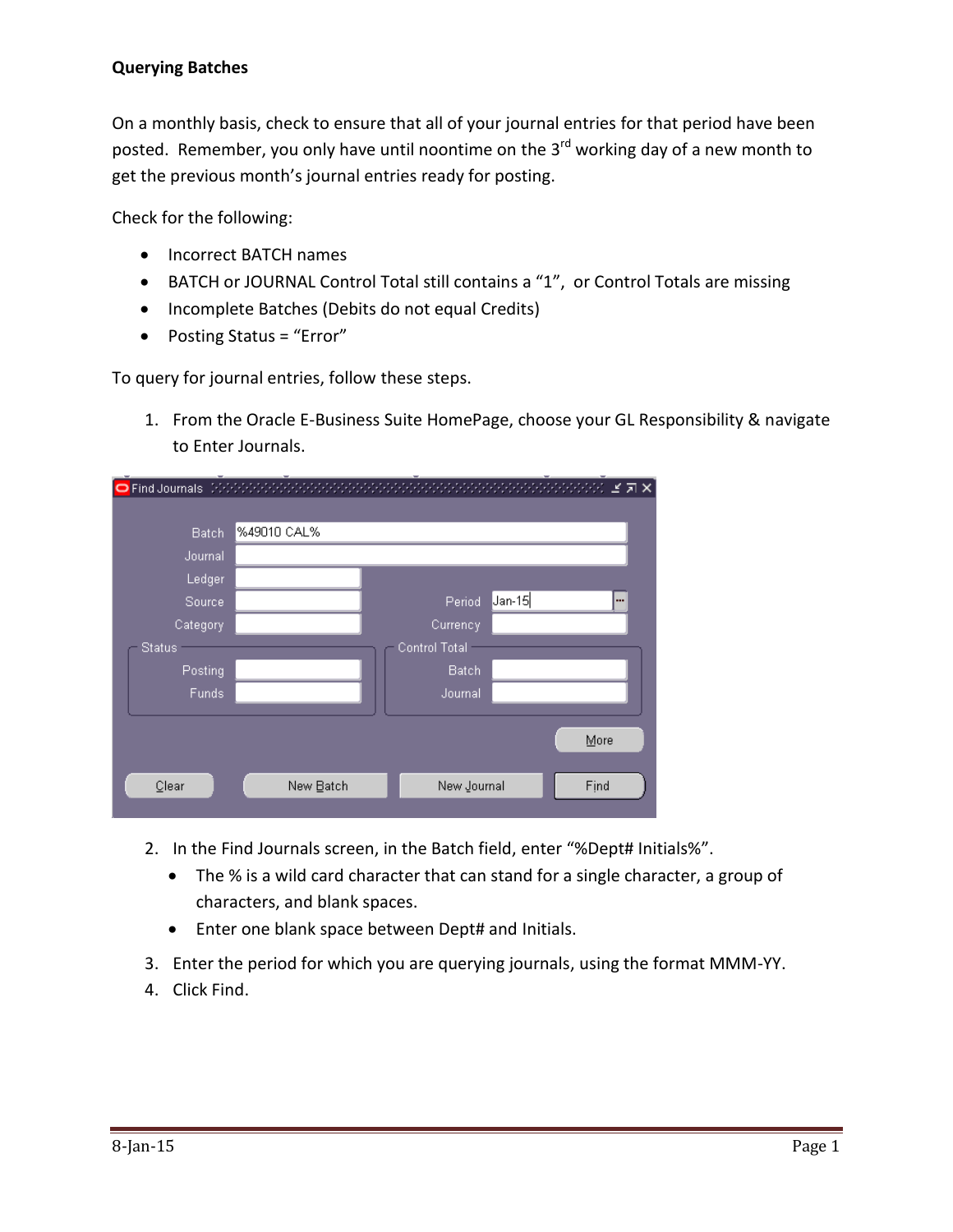## **Querying Batches**

On a monthly basis, check to ensure that all of your journal entries for that period have been posted. Remember, you only have until noontime on the 3<sup>rd</sup> working day of a new month to get the previous month's journal entries ready for posting.

Check for the following:

- Incorrect BATCH names
- BATCH or JOURNAL Control Total still contains a "1", or Control Totals are missing
- Incomplete Batches (Debits do not equal Credits)
- Posting Status = "Error"

To query for journal entries, follow these steps.

1. From the Oracle E-Business Suite HomePage, choose your GL Responsibility & navigate to Enter Journals.

| ÷<br><b>O</b> Find Journals |             |               | -              | ۰.<br>ビヨ× |
|-----------------------------|-------------|---------------|----------------|-----------|
|                             |             |               |                |           |
| <b>Batch</b>                | %49010 CAL% |               |                |           |
| Journal                     |             |               |                |           |
| Ledger                      |             |               |                |           |
| Source                      |             | Period        | $ $ Jan-15 $ $ | ш.        |
| Category                    |             | Currency      |                |           |
| <b>Status</b>               |             | Control Total |                |           |
| Posting                     |             | Batch         |                |           |
| Funds                       |             | Journal       |                |           |
|                             |             |               |                |           |
|                             |             |               |                | More      |
|                             |             |               |                |           |
| Clear                       | New Batch   | New Journal   |                | Find      |
|                             |             |               |                |           |

- 2. In the Find Journals screen, in the Batch field, enter "%Dept# Initials%".
	- The % is a wild card character that can stand for a single character, a group of characters, and blank spaces.
	- Enter one blank space between Dept# and Initials.
- 3. Enter the period for which you are querying journals, using the format MMM-YY.
- 4. Click Find.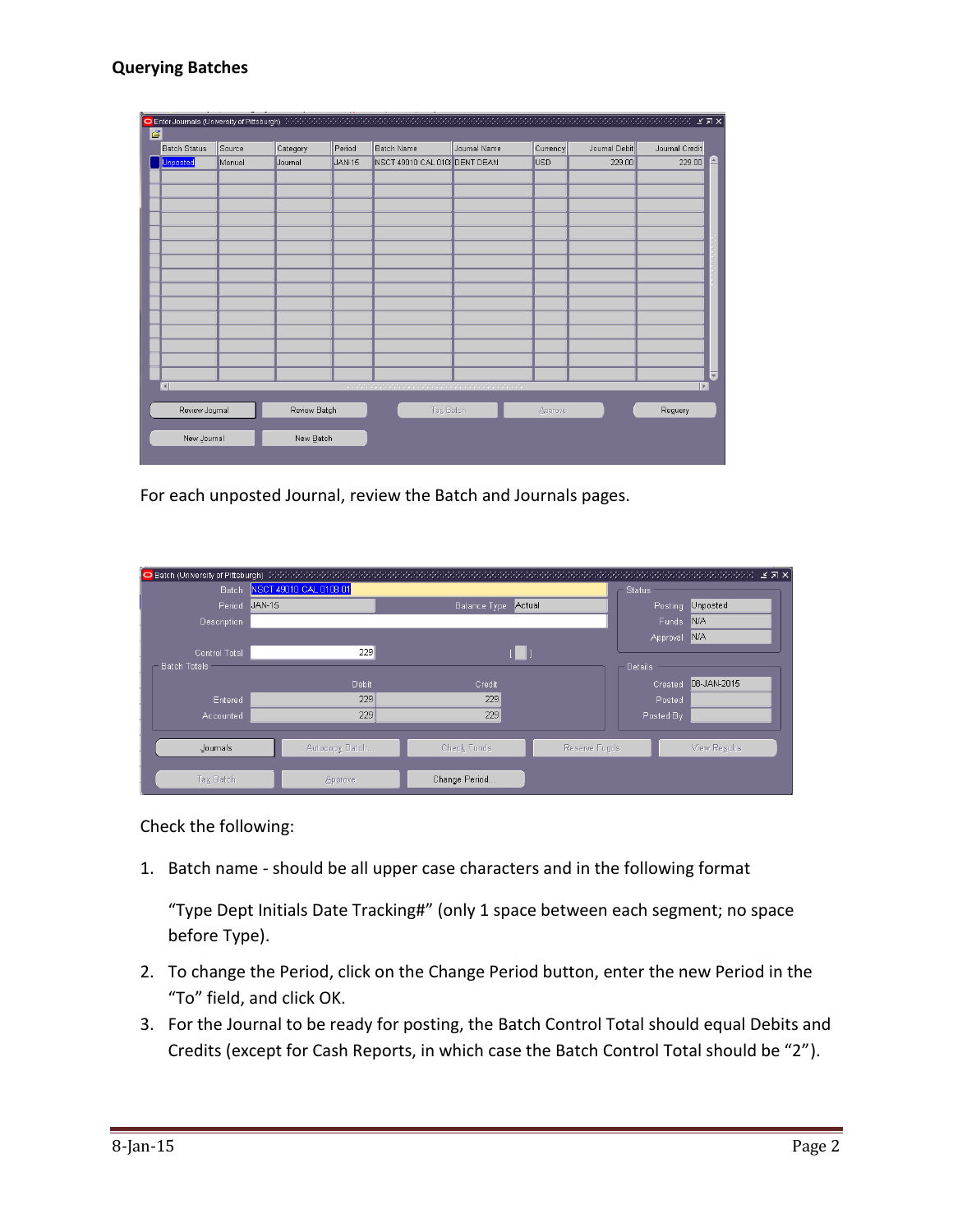## **Querying Batches**

| $\overline{\mathcal{C}}$<br>Period<br><b>Batch Name</b><br>Currency<br>Category<br>Journal Name<br>Journal Debit<br><b>Batch Status</b><br>Source<br>Journal Credit<br>Q<br>229.00<br>Unposted<br>NSCT 49010 CAL 010 DENT DEAN<br><b>USD</b><br>Manual<br><b>JAN-15</b><br>229.00<br>Journal<br>$\overline{\mathbf{v}}$<br>$\mathbb{E}$<br>$\Box$<br>Review Batch<br><b>Tay Batch</b><br>Review Journal<br>Reguery<br>Approve |  |  |  |  |  |  | $\mathbb{R}^{n}$ . In the sequence of $\mathbb{R}^{n}$ , $\mathbb{R}^{n}$ , $\mathbb{R}^{n}$ , $\mathbb{R}^{n}$ , $\mathbb{R}^{n}$ , $\mathbb{R}^{n}$ |  |  |
|-------------------------------------------------------------------------------------------------------------------------------------------------------------------------------------------------------------------------------------------------------------------------------------------------------------------------------------------------------------------------------------------------------------------------------|--|--|--|--|--|--|-------------------------------------------------------------------------------------------------------------------------------------------------------|--|--|
|                                                                                                                                                                                                                                                                                                                                                                                                                               |  |  |  |  |  |  |                                                                                                                                                       |  |  |
|                                                                                                                                                                                                                                                                                                                                                                                                                               |  |  |  |  |  |  |                                                                                                                                                       |  |  |
|                                                                                                                                                                                                                                                                                                                                                                                                                               |  |  |  |  |  |  |                                                                                                                                                       |  |  |
|                                                                                                                                                                                                                                                                                                                                                                                                                               |  |  |  |  |  |  |                                                                                                                                                       |  |  |
|                                                                                                                                                                                                                                                                                                                                                                                                                               |  |  |  |  |  |  |                                                                                                                                                       |  |  |
|                                                                                                                                                                                                                                                                                                                                                                                                                               |  |  |  |  |  |  |                                                                                                                                                       |  |  |
|                                                                                                                                                                                                                                                                                                                                                                                                                               |  |  |  |  |  |  |                                                                                                                                                       |  |  |
|                                                                                                                                                                                                                                                                                                                                                                                                                               |  |  |  |  |  |  |                                                                                                                                                       |  |  |
|                                                                                                                                                                                                                                                                                                                                                                                                                               |  |  |  |  |  |  |                                                                                                                                                       |  |  |
|                                                                                                                                                                                                                                                                                                                                                                                                                               |  |  |  |  |  |  |                                                                                                                                                       |  |  |
|                                                                                                                                                                                                                                                                                                                                                                                                                               |  |  |  |  |  |  |                                                                                                                                                       |  |  |
|                                                                                                                                                                                                                                                                                                                                                                                                                               |  |  |  |  |  |  |                                                                                                                                                       |  |  |
|                                                                                                                                                                                                                                                                                                                                                                                                                               |  |  |  |  |  |  |                                                                                                                                                       |  |  |
|                                                                                                                                                                                                                                                                                                                                                                                                                               |  |  |  |  |  |  |                                                                                                                                                       |  |  |
|                                                                                                                                                                                                                                                                                                                                                                                                                               |  |  |  |  |  |  |                                                                                                                                                       |  |  |
|                                                                                                                                                                                                                                                                                                                                                                                                                               |  |  |  |  |  |  |                                                                                                                                                       |  |  |
|                                                                                                                                                                                                                                                                                                                                                                                                                               |  |  |  |  |  |  |                                                                                                                                                       |  |  |
|                                                                                                                                                                                                                                                                                                                                                                                                                               |  |  |  |  |  |  |                                                                                                                                                       |  |  |
|                                                                                                                                                                                                                                                                                                                                                                                                                               |  |  |  |  |  |  |                                                                                                                                                       |  |  |
|                                                                                                                                                                                                                                                                                                                                                                                                                               |  |  |  |  |  |  |                                                                                                                                                       |  |  |
| New Journal<br>New Batch                                                                                                                                                                                                                                                                                                                                                                                                      |  |  |  |  |  |  |                                                                                                                                                       |  |  |
|                                                                                                                                                                                                                                                                                                                                                                                                                               |  |  |  |  |  |  |                                                                                                                                                       |  |  |

For each unposted Journal, review the Batch and Journals pages.

| O Batch (University of Pittsburgh) (2000) 2002/2002/2003 |                        | <u> Katalog Kabupatén Pangunah Pangunah Sumah Pangunah Sumah Sumah Sumah Sumah Sumah Sumah Sumah Sumah Sumah Sumah</u> |               |                | teren en de la persona de<br>ビゴ× |
|----------------------------------------------------------|------------------------|------------------------------------------------------------------------------------------------------------------------|---------------|----------------|----------------------------------|
| Batch                                                    | NSCT 49010 CAL 0108 01 | - Status                                                                                                               |               |                |                                  |
| Period                                                   | <b>JAN-15</b>          | Balance Type                                                                                                           | Actual        | Posting        | Unposted                         |
| <b>Description</b>                                       |                        |                                                                                                                        |               | Funds          | <b>N/A</b>                       |
|                                                          |                        |                                                                                                                        |               | Approval       | N/A                              |
| <b>Control Total</b>                                     | 229                    |                                                                                                                        |               |                |                                  |
| <b>Batch Totals</b>                                      |                        |                                                                                                                        |               | <b>Details</b> |                                  |
|                                                          | <b>Debit</b>           | Credit                                                                                                                 |               | Created        | 08-JAN-2015                      |
| Entered                                                  | 229                    | 229                                                                                                                    |               | Posted         |                                  |
| Accounted                                                | 229                    | 229                                                                                                                    |               | Posted By      |                                  |
|                                                          |                        |                                                                                                                        |               |                |                                  |
| Journals                                                 | Autocopy Batch         | <b>Check Funds</b>                                                                                                     | Reserve Funds |                | View Results                     |
|                                                          |                        |                                                                                                                        |               |                |                                  |
| Tax Batch                                                | Approve                | Change Period                                                                                                          |               |                |                                  |

Check the following:

1. Batch name - should be all upper case characters and in the following format

"Type Dept Initials Date Tracking#" (only 1 space between each segment; no space before Type).

- 2. To change the Period, click on the Change Period button, enter the new Period in the "To" field, and click OK.
- 3. For the Journal to be ready for posting, the Batch Control Total should equal Debits and Credits (except for Cash Reports, in which case the Batch Control Total should be "2").